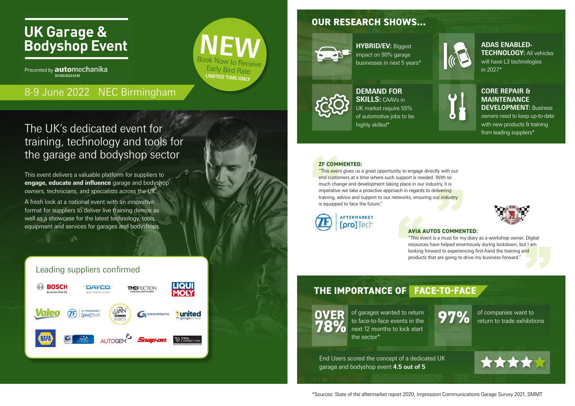# **UK Garage & Bodyshop Event**

Presented by **automechanika** BIRMINGHAM

This event delivers a valuable platform for suppliers to **engage, educate and influence** garage and bodyshop owners, technicians, and specialists across the UK.

A fresh look at a national event with an innovative format for suppliers to deliver live training demos as well as a showcase for the latest technology, tools, equipment and services for garages and bodyshops.

# The UK's dedicated event for training, technology and tools for the garage and bodyshop sector



## Leading suppliers confirmed



of garages wanted to return to face-to-face events in the next 12 months to kick start the sector\* **OVER** of garages wanted to return<br> **78%** to face-to-face events in the<br>
mext 12 months to kick start

## **OUR RESEARCH SHOWS...**



**HYBRID/EV:** Biggest impact on 90% garage businesses in next 5 years\*



#### **DEMAND FOR SKILLS:** CAAVs in UK market require 55% of automotive jobs to be highly skilled\*

### **ADAS ENABLED-TECHNOLOGY:** All vehicles

will have L3 technologies in 2027\*



### **CORE REPAIR & MAINTENANCE DEVELOPMENT:** Business

**ZF COM**<br>
"This ever<br>
end custom<br>
much chai<br>
imperative<br>
training, a<br>
is equippe "This event gives us a great opportunity to engage directly with our end customers at a time where such support is needed. With so y wint out<br>Vith so<br>try, it is<br>ivering<br>ir industry much change and development taking place in our industry, it is imperative we take a proactive approach in regards to delivering training, advice and support to our networks, ensuring ou<mark>r industry</mark> is equipped to face the future."



**AVIA AVIA**<br>
"This ev<br>
resource<br>
looking<br>
product

owners need to keep up-to-date with new products & training from leading suppliers\*





# **THE IMPORTANCE OF FACE-TO-FACE**

of companies want to return to trade exhibitions



End Users scored the concept of a dedicated UK garage and bodyshop event **4.5 out of 5**



#### **ZF COMMENTED:**

#### **AVIA AUTOS COMMENTED:**

"This event is a must for my diary as a workshop owner. Digital resources have helped enormously during lockdown, but I am looking forward to experiencing first-hand the training and products that are going to drive my business forward."



# 8-9 June 2022 NEC Birmingham